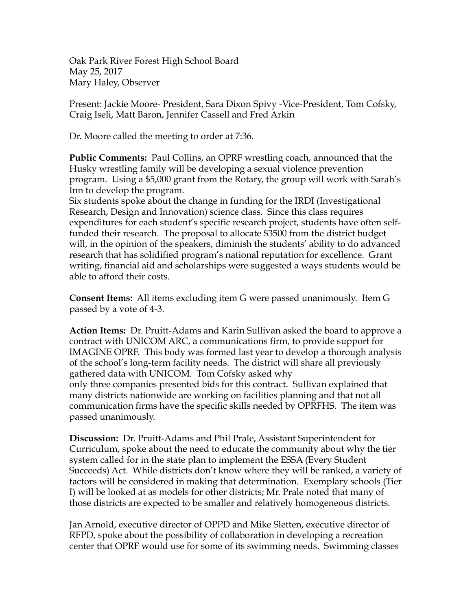Oak Park River Forest High School Board May 25, 2017 Mary Haley, Observer

Present: Jackie Moore- President, Sara Dixon Spivy -Vice-President, Tom Cofsky, Craig Iseli, Matt Baron, Jennifer Cassell and Fred Arkin

Dr. Moore called the meeting to order at 7:36.

**Public Comments:** Paul Collins, an OPRF wrestling coach, announced that the Husky wrestling family will be developing a sexual violence prevention program. Using a \$5,000 grant from the Rotary, the group will work with Sarah's Inn to develop the program.

Six students spoke about the change in funding for the IRDI (Investigational Research, Design and Innovation) science class. Since this class requires expenditures for each student's specific research project, students have often selffunded their research. The proposal to allocate \$3500 from the district budget will, in the opinion of the speakers, diminish the students' ability to do advanced research that has solidified program's national reputation for excellence. Grant writing, financial aid and scholarships were suggested a ways students would be able to afford their costs.

**Consent Items:** All items excluding item G were passed unanimously. Item G passed by a vote of 4-3.

**Action Items:** Dr. Pruitt-Adams and Karin Sullivan asked the board to approve a contract with UNICOM ARC, a communications firm, to provide support for IMAGINE OPRF. This body was formed last year to develop a thorough analysis of the school's long-term facility needs. The district will share all previously gathered data with UNICOM. Tom Cofsky asked why only three companies presented bids for this contract. Sullivan explained that many districts nationwide are working on facilities planning and that not all communication firms have the specific skills needed by OPRFHS. The item was passed unanimously.

**Discussion:** Dr. Pruitt-Adams and Phil Prale, Assistant Superintendent for Curriculum, spoke about the need to educate the community about why the tier system called for in the state plan to implement the ESSA (Every Student Succeeds) Act. While districts don't know where they will be ranked, a variety of factors will be considered in making that determination. Exemplary schools (Tier I) will be looked at as models for other districts; Mr. Prale noted that many of those districts are expected to be smaller and relatively homogeneous districts.

Jan Arnold, executive director of OPPD and Mike Sletten, executive director of RFPD, spoke about the possibility of collaboration in developing a recreation center that OPRF would use for some of its swimming needs. Swimming classes